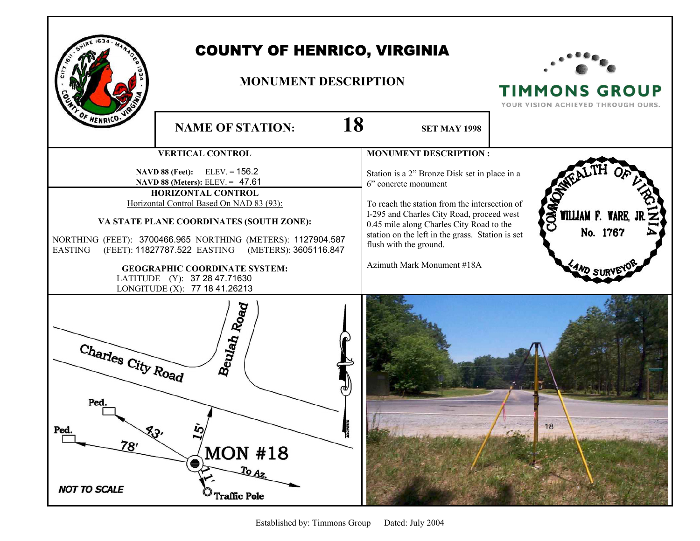

## COUNTY OF HENRICO, VIRGINIA

## **MONUMENT DESCRIPTION**



**TIMMONS GROUP** YOUR VISION ACHIEVED THROUGH OURS.